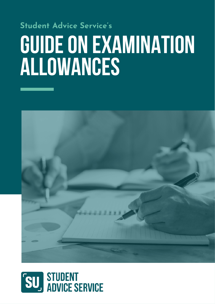# **Student Advice Service's GUIDEON EXAMINATION ALLOWANCES**



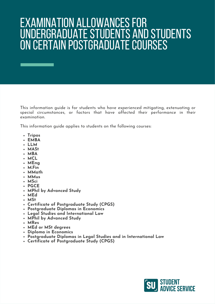### EXAMINATION ALLOWANCES FOR UNDERGRADUATE STUDENTS AND STUDENTS ON CERTAIN POSTGRADUATE COURSES

This information guide is for students who have experienced mitigating, extenuating or special circumstances, or factors that have affected their performance in their examination.

This information guide applies to students on the following courses:

- **Tripos**
- **EMBA**
- **LLM**
- **MASt**
- **MBA**
- **MCL**
- **MEng**
- **M.Fin**
- **MMath**
- **MMus**
- **MSci**
- **PGCE**
- **MPhil by Advanced Study**
- **MEd**
- **MSt**
- **Certificate of Postgraduate Study (CPGS)**
- **Postgraduate Diplomas in Economics**
- **Legal Studies and International Law**
- **MPhil by Advanced Study**
- **MRes**
- **MEd or MSt degrees**
- **Diploma in Economics**
- **Postgraduate Diplomas in Legal Studies and in International Law**
- **Certificate of Postgraduate Study (CPGS)**

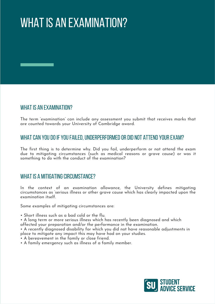# WHAT IS AN EXAMINATION?

#### WHAT IS AN EXAMINATION?

The term 'examination' can include any assessment you submit that receives marks that are counted towards your University of Cambridge award.

#### WHAT CAN YOU DO IF YOU FAILED, UNDERPERFORMED OR DID NOT ATTEND YOUR EXAM?

The first thing is to determine why. Did you fail, underperform or not attend the exam due to mitigating circumstances (such as medical reasons or grave cause) or was it something to do with the conduct of the examination?

#### WHAT IS A MITIGATING CIRCUMSTANCE?

In the context of an examination allowance, the University defines mitigating circumstances as 'serious illness or other grave cause which has clearly impacted upon the examination itself.

Some examples of mitigating circumstances are:

• Short illness such as a bad cold or the flu.

• A long term or more serious illness which has recently been diagnosed and which affected your preparation and/or the performance in the examination.

• A recently diagnosed disability for which you did not have reasonable adjustments in place to mitigate any impact this may have had on your studies.

• A bereavement in the family or close friend.

• A family emergency such as illness of a family member.

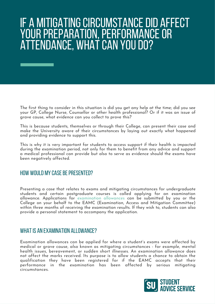### IF A MITIGATING CIRCUMSTANCE DID AFFECT YOUR PREPARATION, PERFORMANCE OR ATTENDANCE, WHAT CAN YOU DO?

The first thing to consider in this situation is did you get any help at the time; did you see your GP, College Nurse, Counsellor or other health professional? Or if it was an issue of grave cause, what evidence can you collect to prove this?

This is because students, themselves or through their College, can present their case and make the University aware of their circumstances by laying out exactly what happened and providing evidence to support this.

This is why it is very important for students to access support if their health is impacted during the examination period, not only for them to benefit from any advice and support a medical professional can provide but also to serve as evidence should the exams have been negatively affected.

#### HOW WOULD MY CASE BE PRESENTED?

Presenting a case that relates to exams and mitigating circumstances for undergraduate students and certain [postgraduate](https://www.student-registry.admin.cam.ac.uk/about-us/EAMC) courses is called applying for an examination allowance. Applications for [examination](https://www.student-registry.admin.cam.ac.uk/about-us/EAMC) allowances can be submitted by you or the College on your behalf to the EAMC (Examination, Access and Mitigation Committee) within three months of receiving the examination results. If they wish to, students can also provide a personal statement to accompany the application.

#### WHATIS AN EXAMINATION ALLOWANCE?

Examination allowances can be applied for where a student's exams were affected by medical or grave cause, also known as mitigating circumstances - for example, mental health issues, bereavement, or sudden short illnesses. An examination allowance does not affect the marks received. Its purpose is to allow students a chance to obtain the qualification they have been registered for if the EAMC accepts that their performance in the examination has been affected by serious mitigating circumstances.

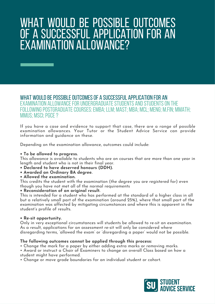### WHAT WOULD BE POSSIBLE OUTCOMES OF A SUCCESSFUL APPLICATION FOR AN EXAMINATION ALLOWANCE?

WHAT WOULD BE POSSIBLE OUTCOMES OF A SUCCESSFUL APPLICATIO[N](https://www.student-registry.admin.cam.ac.uk/files/guidance_notes_for_examination_allowances_202122.pdf) FOR AN EXAMINATION ALLOWANCE FOR UNDERGRADUATE STUDENTS AND STUDENTS ON THE [FOLLOWINGPOSTGRADUATECOURSES:EMBA;LLM;](https://www.student-registry.admin.cam.ac.uk/files/guidance_notes_for_examination_allowances_202122_v2.pdf) MAST; MBA; MCL; MENG; M.FIN; MMATH; MMUS; MSCI;PGCE[?](https://www.student-registry.admin.cam.ac.uk/files/guidance_notes_for_examination_allowances_202122.pdf)

If you have a case and evidence to support that case, there are a range of possible examination allowances. Your Tutor or the Student Advice Service can provide information and guidance on these.

Depending on the examination allowance, outcomes could include:

#### **• To be allowed to progress.**

This allowance is available to students who are on courses that are more than one year in length and student who is not in their final year.

- **• Declared to have deserved honours (DDH).**
- **• Awarded an Ordinary BA degree.**
- **• Allowed the examination.**

This credits the student with the examination (the degree you are registered for) even though you have not met all of the normal requirements

#### **• Reconsideration of an original result.**

This is intended for a student who has performed at the standard of a higher class in all but a relatively small part of the examination (around 25%), where that small part of the examination was affected by mitigating circumstances and where this is apparent in the student's profile of results.

#### **• Re-sit opportunity.**

Only in very exceptional circumstances will students be allowed to re-sit an examination. As a result, applications for an assessment re-sit will only be considered where disregarding terms, 'allowed the exam' or 'disregarding a paper' would not be possible.

#### **The following outcomes cannot be applied through this process:**

- Change the mark for a paper by either adding extra marks or removing marks.
- Award or instruct a Chair of Examiners to change an overall Class based on how a student might have performed.
- Change or move grade boundaries for an individual student or cohort.

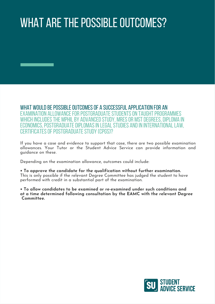# WHAT ARE THE POSSIBLE OUTCOMES?

WHAT WOULD BE POSSIBLE OUTCOMES OF A SUCCESSFUL APPLICATION FOR AN EXAMINATION ALLOWANCE FOR POSTGRADUATE STUDENTS ON TAUGHT PROGRAMMES WHICH INCLUDES THE MPHIL BY ADVANCED STUDY, MRES OR MST DEGREES, DIPLOMA IN ONOMICS, POSTGRADUATE DIPLOMAS IN LEGAL STUDIES AND IN INTERNATIONAL LAW. CERTIFICATES OF POSTGRADUATE STUDY (CPGS)[?](https://www.student-registry.admin.cam.ac.uk/files/guidance_notes_for_examination_allowances_202122_for_certain_postgraduate_courses.pdf)

If you have a case and evidence to support that case, there are two possible examination allowances. Your Tutor or the Student Advice Service can provide information and guidance on these.

Depending on the examination allowance, outcomes could include:

**• To approve the candidate for the qualification without further examination.** This is only possible if the relevant Degree Committee has judged the student to have performed with credit in a substantial part of the examination.

**• To allow candidates to be examined or re-examined under such conditions and at a time determined following consultation by the EAMC with the relevant Degree Committee.**

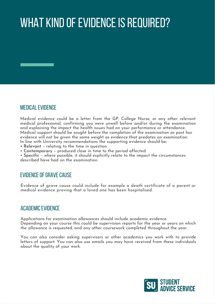# WHAT KIND OF EVIDENCE IS REQUIRED?

#### MEDICALEVIDENCE

Medical evidence could be a letter from the GP, College Nurse, or any other relevant medical professional, confirming you were unwell before and/or during the examination and explaining the impact the health issues had on your performance or attendance. Medical support should be sought before the completion of the examination as post hoc evidence will not be given the same weight as evidence that predates an examination. In line with University recommendations the supporting evidence should be:

- **Relevant** relating to the time in question.
- **Contemporary** produced close in time to the period affected.

• **Specific** – where possible, it should explicitly relate to the impact the circumstances described have had on the examination.

#### EVIDENCE OF GRAVE CAUSE

Evidence of grave cause could include for example a death certificate of a parent or medical evidence proving that a loved one has been hospitalised.

#### **ACADEMIC EVIDENCE**

Applications for examination allowances should include academic evidence. Depending on your course this could be supervision reports for the year or years on which the allowance is requested, and any other coursework completed throughout the year.

You can also consider asking supervisors or other academics you work with to provide letters of support. You can also use emails you may have received from these individuals about the quality of your work.

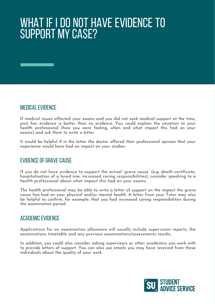# WHAT IF IDO NOT HAVE EVIDENCE TO SUPPORT MY CASE?

#### MEDICALEVIDENCE

If medical issues affected your exams and you did not seek medical support at the time, post hoc evidence is better than no evidence. You could explain the situation to your health professional (how you were feeling, when and what impact this had on your exams) and ask them to write a letter.

It would be helpful if in the letter the doctor offered their professional opinion that your experience would have had an impact on your studies.

#### **EVIDENCE OF GRAVE CAUSE**

If you do not have evidence to support the actual 'grave cause' (e.g. death certificate, hospitalisation of a loved one, increased caring responsibilities), consider speaking to a health professional about what impact this had on your exams.

The health professional may be able to write a letter of support on the impact the grave cause has had on your physical and/or mental health. A letter from your Tutor may also be helpful to confirm, for example, that you had increased caring responsibilities during the examination period.

#### **ACADEMIC EVIDENCE**

Applications for an examination allowance will usually include supervision reports, the examinations timetable and any previous examinations/assessments results.

In addition, you could also consider asking supervisors or other academics you work with to provide letters of support. You can also use emails you may have received from these individuals about the quality of your work.

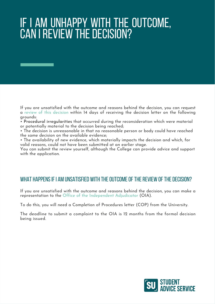# IF I AM UNHAPPY WITH THE OUTCOME, CAN I REVIEW THE DECISION?

If you are [unsatisfied](https://www.studentcomplaints.admin.cam.ac.uk/reviews-decisions-university-bodies) with the outcome and reasons behind the decision, you can request a review of this [decision](https://www.studentcomplaints.admin.cam.ac.uk/reviews-decisions-university-bodies) within 14 days of receiving the decision letter on the following grounds:

• **Procedural irregularities** that occurred during the reconsideration which were material or potentially material to the decision being reached;

• The decision is unreasonable in that no reasonable person or body could have reached the same decision on the available evidence;

• The availability of new evidence, which materially impacts the decision and which, for valid reasons, could not have been submitted at an earlier stage.

You can submit the review yourself, although the College can provide advice and support with the application.

#### WHAT HAPPENS IF I AM UNSATISFIED WITH THE OUTCOME OF THE REVIEW OF THE DECISION?

If you are unsatisfied with the [outcome](https://www.oiahe.org.uk/) and reasons behind the decision, you can make a representation to the [O](https://www.oiahe.org.uk/)ffice of the [Independent](https://www.oiahe.org.uk/) Adjudicator (OIA).

To do this, you will need a Completion of Procedures letter (COP) from the University.

The deadline to submit a complaint to the OIA is 12 months from the formal decision being issued.

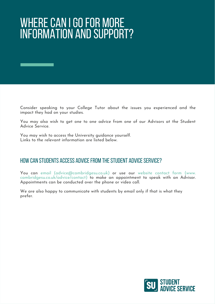# WHERE CAN I GO FOR MORE INFORMATION AND SUPPORT?

Consider speaking to your College Tutor about the issues you experienced and the impact they had on your studies.

You may also wish to get one to one advice from one of our Advisors at the Student Advice Service.

You may wish to access the University guidance yourself. Links to the relevant information are listed below.

#### HOW CAN STUDENTS ACCESS ADVICE FROM THE STUDENT ADVICE SERVICE?

[You](http://www.cambridgesu.co.uk/advice/contact) can [email](http://www.cambridgesu.co.uk/advice/contact) ([advice@cambridgesu.co.uk\)](mailto:advice%40cambridgesu.co.uk?subject=) or use our website contact form (www. [cambridgesu.co.uk/advice/contact\)](http://www.cambridgesu.co.uk/advice/contact) to make an appointment to speak with an Advisor. Appointments can be conducted over the phone or video call.

We are also happy to communicate with students by email only if that is what they prefer.